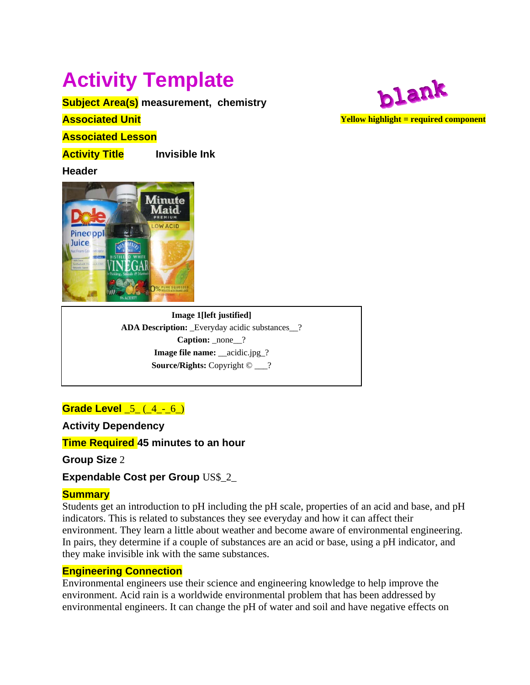# **Activity Template**

**Subject Area(s) measurement, chemistry** 

**Associated Unit** 

**Associated Lesson** 

**Activity Title Invisible Ink** 

**Header**



**Image 1[left justified] ADA Description:** \_Everyday acidic substances\_\_? **Caption:** none ? **Image file name:** \_\_acidic.jpg\_? **Source/Rights:** Copyright © \_\_\_?

# **Grade Level** 5 (4 - 6)

**Activity Dependency** 

**Time Required 45 minutes to an hour**

**Group Size** 2

**Expendable Cost per Group US\$ 2** 

# **Summary**

Students get an introduction to pH including the pH scale, properties of an acid and base, and pH indicators. This is related to substances they see everyday and how it can affect their environment. They learn a little about weather and become aware of environmental engineering. In pairs, they determine if a couple of substances are an acid or base, using a pH indicator, and they make invisible ink with the same substances.

# **Engineering Connection**

Environmental engineers use their science and engineering knowledge to help improve the environment. Acid rain is a worldwide environmental problem that has been addressed by environmental engineers. It can change the pH of water and soil and have negative effects on

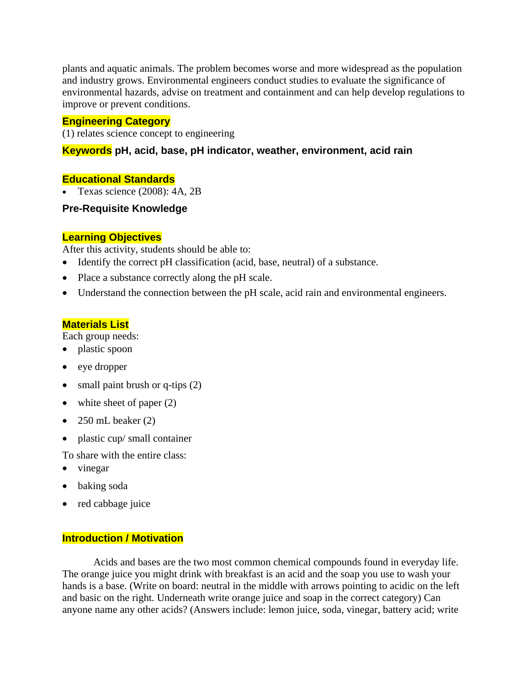plants and aquatic animals. The problem becomes worse and more widespread as the population and industry grows. Environmental engineers conduct studies to evaluate the significance of environmental hazards, advise on treatment and containment and can help develop regulations to improve or prevent conditions.

#### **Engineering Category**

(1) relates science concept to engineering

## **Keywords pH, acid, base, pH indicator, weather, environment, acid rain**

#### **Educational Standards**

• Texas science  $(2008)$ : 4A, 2B

#### **Pre-Requisite Knowledge**

#### **Learning Objectives**

After this activity, students should be able to:

- Identify the correct pH classification (acid, base, neutral) of a substance.
- Place a substance correctly along the pH scale.
- Understand the connection between the pH scale, acid rain and environmental engineers.

## **Materials List**

Each group needs:

- plastic spoon
- eye dropper
- small paint brush or q-tips  $(2)$
- white sheet of paper (2)
- 250 mL beaker  $(2)$
- plastic cup/ small container
- To share with the entire class:
- vinegar
- baking soda
- red cabbage juice

## **Introduction / Motivation**

 Acids and bases are the two most common chemical compounds found in everyday life. The orange juice you might drink with breakfast is an acid and the soap you use to wash your hands is a base. (Write on board: neutral in the middle with arrows pointing to acidic on the left and basic on the right. Underneath write orange juice and soap in the correct category) Can anyone name any other acids? (Answers include: lemon juice, soda, vinegar, battery acid; write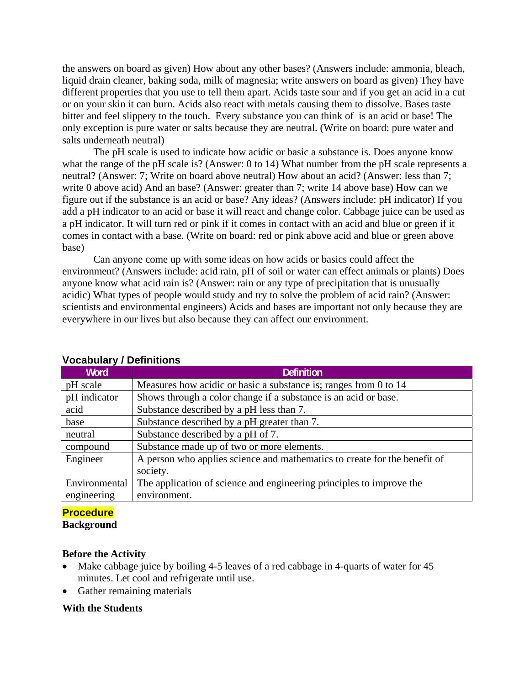the answers on board as given) How about any other bases? (Answers include: ammonia, bleach, liquid drain cleaner, baking soda, milk of magnesia; write answers on board as given) They have different properties that you use to tell them apart. Acids taste sour and if you get an acid in a cut or on your skin it can burn. Acids also react with metals causing them to dissolve. Bases taste bitter and feel slippery to the touch. Every substance you can think of is an acid or base! The only exception is pure water or salts because they are neutral. (Write on board: pure water and salts underneath neutral)

 The pH scale is used to indicate how acidic or basic a substance is. Does anyone know what the range of the pH scale is? (Answer: 0 to 14) What number from the pH scale represents a neutral? (Answer: 7; Write on board above neutral) How about an acid? (Answer: less than 7; write 0 above acid) And an base? (Answer: greater than 7; write 14 above base) How can we figure out if the substance is an acid or base? Any ideas? (Answers include: pH indicator) If you add a pH indicator to an acid or base it will react and change color. Cabbage juice can be used as a pH indicator. It will turn red or pink if it comes in contact with an acid and blue or green if it comes in contact with a base. (Write on board: red or pink above acid and blue or green above base)

 Can anyone come up with some ideas on how acids or basics could affect the environment? (Answers include: acid rain, pH of soil or water can effect animals or plants) Does anyone know what acid rain is? (Answer: rain or any type of precipitation that is unusually acidic) What types of people would study and try to solve the problem of acid rain? (Answer: scientists and environmental engineers) Acids and bases are important not only because they are everywhere in our lives but also because they can affect our environment.

| Word          | <b>Definition</b>                                                         |
|---------------|---------------------------------------------------------------------------|
| pH scale      | Measures how acidic or basic a substance is; ranges from 0 to 14          |
| pH indicator  | Shows through a color change if a substance is an acid or base.           |
| acid          | Substance described by a pH less than 7.                                  |
| base          | Substance described by a pH greater than 7.                               |
| neutral       | Substance described by a pH of 7.                                         |
| compound      | Substance made up of two or more elements.                                |
| Engineer      | A person who applies science and mathematics to create for the benefit of |
|               | society.                                                                  |
| Environmental | The application of science and engineering principles to improve the      |
| engineering   | environment.                                                              |

#### **Vocabulary / Definitions**

## **Procedure**

**Background**

#### **Before the Activity**

- Make cabbage juice by boiling 4-5 leaves of a red cabbage in 4-quarts of water for 45 minutes. Let cool and refrigerate until use.
- Gather remaining materials

#### **With the Students**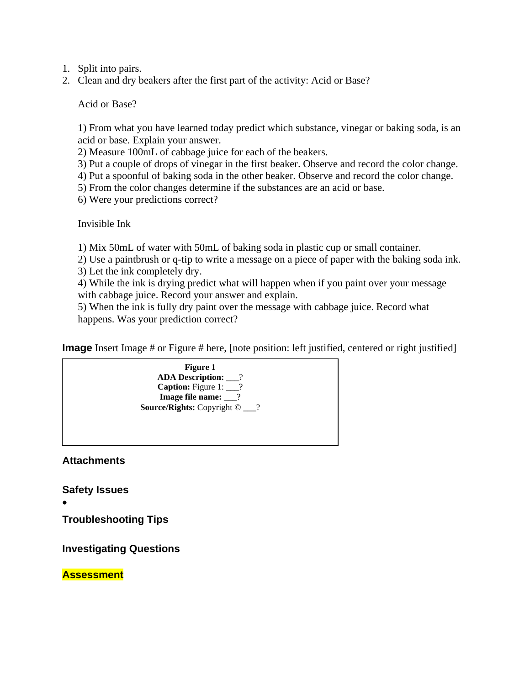- 1. Split into pairs.
- 2. Clean and dry beakers after the first part of the activity: Acid or Base?

Acid or Base?

1) From what you have learned today predict which substance, vinegar or baking soda, is an acid or base. Explain your answer.

2) Measure 100mL of cabbage juice for each of the beakers.

3) Put a couple of drops of vinegar in the first beaker. Observe and record the color change.

4) Put a spoonful of baking soda in the other beaker. Observe and record the color change.

5) From the color changes determine if the substances are an acid or base.

6) Were your predictions correct?

Invisible Ink

1) Mix 50mL of water with 50mL of baking soda in plastic cup or small container.

2) Use a paintbrush or q-tip to write a message on a piece of paper with the baking soda ink. 3) Let the ink completely dry.

4) While the ink is drying predict what will happen when if you paint over your message with cabbage juice. Record your answer and explain.

5) When the ink is fully dry paint over the message with cabbage juice. Record what happens. Was your prediction correct?

**Image** Insert Image # or Figure # here, [note position: left justified, centered or right justified]



**Attachments** 

**Safety Issues** 

•

**Troubleshooting Tips** 

**Investigating Questions** 

**Assessment**